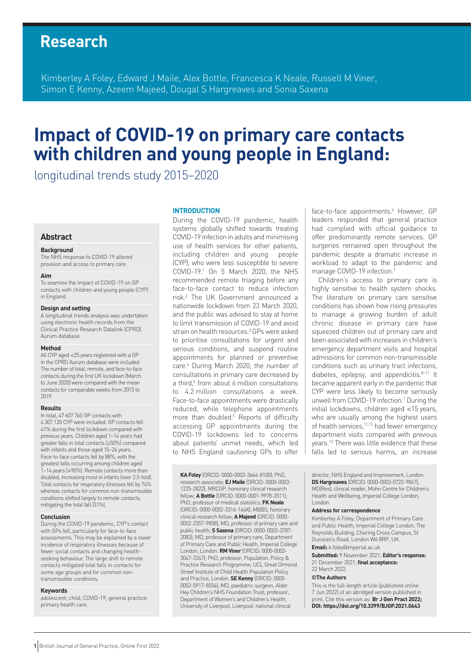# **Research**

Kimberley A Foley, Edward J Maile, Alex Bottle, Francesca K Neale, Russell M Viner, Simon E Kenny, Azeem Majeed, Dougal S Hargreaves and Sonia Saxena

# **Impact of COVID-19 on primary care contacts with children and young people in England:**

longitudinal trends study 2015–2020

# **Abstract**

#### **Background**

The NHS response to COVID-19 altered provision and access to primary care.

#### **Aim**

To examine the impact of COVID-19 on GP contacts with children and young people (CYP) in England.

#### **Design and setting**

A longitudinal trends analysis was undertaken using electronic health records from the Clinical Practice Research Datalink (CPRD) Aurum database.

#### **Method**

All CYP aged <25 years registered with a GP in the CPRD Aurum database were included. The number of total, remote, and face-to-face contacts during the first UK lockdown (March to June 2020) were compared with the mean contacts for comparable weeks from 2015 to 2019.

#### **Results**

In total, 47 607 765 GP contacts with 4 307 120 CYP were included. GP contacts fell 41% during the first lockdown compared with previous years. Children aged 1–14 years had greater falls in total contacts (≥50%) compared with infants and those aged 15–24 years. Face-to-face contacts fell by 88%, with the greatest falls occurring among children aged 1–14 years (>90%). Remote contacts more than doubled, increasing most in infants (over 2.5-fold). Total contacts for respiratory illnesses fell by 74% whereas contacts for common non-transmissible conditions shifted largely to remote contacts, mitigating the total fall (31%).

#### **Conclusion**

During the COVID-19 pandemic, CYP's contact with GPs fell, particularly for face-to-face assessments. This may be explained by a lower incidence of respiratory illnesses because of fewer social contacts and changing healthseeking behaviour. The large shift to remote contacts mitigated total falls in contacts for some age groups and for common nontransmissible conditions.

#### **Keywords**

adolescent; child; COVID-19; general practice; primary health care.

#### **INTRODUCTION**

During the COVID-19 pandemic, health systems globally shifted towards treating COVID-19 infection in adults and minimising use of health services for other patients, including children and young people (CYP), who were less susceptible to severe COVID-19.1 On 5 March 2020, the NHS recommended remote triaging before any face-to-face contact to reduce infection risk.2 The UK Government announced a nationwide lockdown from 23 March 2020, and the public was advised to stay at home to limit transmission of COVID-19 and avoid strain on health resources.<sup>3</sup> GPs were asked to prioritise consultations for urgent and serious conditions, and suspend routine appointments for planned or preventive care.4 During March 2020, the number of consultations in primary care decreased by a third,<sup>5</sup> from about 6 million consultations to 4.2 million consultations a week. Face-to-face appointments were drastically reduced, while telephone appointments more than doubled.<sup>5</sup> Reports of difficulty accessing GP appointments during the COVID-19 lockdowns led to concerns about patients' unmet needs, which led to NHS England cautioning GPs to offer

**KA Foley** (ORCID: 0000-0003-3664-8100); PhD, research associate; **EJ Maile** (ORCID: 0000-0003- 1225-2822); MRCGP, honorary clinical research fellow; **A Bottle** (ORCID: 0000-0001-9978-2011); PhD, professor of medical statistics; **FK Neale** (ORCID: 0000-0002-3316-164X); MBBS, honorary clinical research fellow; **A Majeed** (ORCID: 0000- 0002-2357-9858); MD, professor of primary care and public health; **S Saxena** (ORCID: 0000-0003-3787- 2083); MD, professor of primary care, Department of Primary Care and Public Health, Imperial College London, London. **RM Viner** (ORCID: 0000-0003- 3047-2247); PhD, professor, Population, Policy & Practice Research Programme, UCL Great Ormond Street Institute of Child Health Population Policy and Practice, London. **SE Kenny** (ORCID: 0000- 0002-5917-8554); MD, paediatric surgeon, Alder Hey Children's NHS Foundation Trust; professor, Department of Women's and Children's Health, University of Liverpool, Liverpool; national clinical

face-to-face appointments.<sup>6</sup> However, GP leaders responded that general practice had complied with official guidance to offer predominantly remote services. GP surgeries remained open throughout the pandemic despite a dramatic increase in workload to adapt to the pandemic and manage COVID-19 infection.

Children's access to primary care is highly sensitive to health system shocks. The literature on primary care sensitive conditions has shown how rising pressures to manage a growing burden of adult chronic disease in primary care have squeezed children out of primary care and been associated with increases in children's emergency department visits and hospital admissions for common non-transmissible conditions such as urinary tract infections, diabetes, epilepsy, and appendicitis. $8-11$  It became apparent early in the pandemic that CYP were less likely to become seriously unwell from COVID-19 infection.<sup>1</sup> During the initial lockdowns, children aged <15 years, who are usually among the highest users of health services,<sup>11,12</sup> had fewer emergency department visits compared with previous years.13 There was little evidence that these falls led to serious harms, an increase

director, NHS England and Improvement, London. **DS Hargreaves** (ORCID: 0000-0003-0722-9847); MD(Res), clinical reader, Mohn Centre for Children's Health and Wellbeing, Imperial College London, London.

#### **Address for correspondence**

Kimberley A Foley, Department of Primary Care and Public Health, Imperial College London, The Reynolds Building, Charing Cross Campus, St Dunstan's Road, London W6 8RP, UK.

#### **Email:** [k.foley@imperial.ac.uk](mailto:k.foley@imperial.ac.uk)

**Submitted:** 9 November 2021; **Editor's response:** 21 December 2021; **final acceptance:**  22 March 2022.

#### **©The Authors**

This is the full-length article (published online 7 Jun 2022) of an abridged version published in print. Cite this version as: **Br J Gen Pract 2022; DOI: <https://doi.org/10.3399/BJGP.2021.0643>**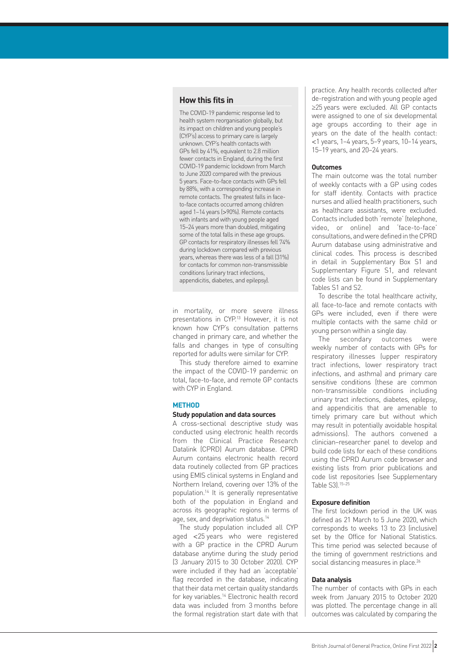# **How this fits in**

The COVID-19 pandemic response led to health system reorganisation globally, but its impact on children and young people's (CYP's) access to primary care is largely unknown. CYP's health contacts with GPs fell by 41%, equivalent to 2.8 million fewer contacts in England, during the first COVID-19 pandemic lockdown from March to June 2020 compared with the previous 5 years. Face-to-face contacts with GPs fell by 88%, with a corresponding increase in remote contacts. The greatest falls in faceto-face contacts occurred among children aged 1–14 years (>90%). Remote contacts with infants and with young people aged 15–24 years more than doubled, mitigating some of the total falls in these age groups. GP contacts for respiratory illnesses fell 74% during lockdown compared with previous years, whereas there was less of a fall (31%) for contacts for common non-transmissible conditions (urinary tract infections, appendicitis, diabetes, and epilepsy).

in mortality, or more severe illness presentations in CYP.13 However, it is not known how CYP's consultation patterns changed in primary care, and whether the falls and changes in type of consulting reported for adults were similar for CYP.

This study therefore aimed to examine the impact of the COVID-19 pandemic on total, face-to-face, and remote GP contacts with CYP in England.

## **METHOD**

#### **Study population and data sources**

A cross-sectional descriptive study was conducted using electronic health records from the Clinical Practice Research Datalink (CPRD) Aurum database. CPRD Aurum contains electronic health record data routinely collected from GP practices using EMIS clinical systems in England and Northern Ireland, covering over 13% of the population.14 It is generally representative both of the population in England and across its geographic regions in terms of age, sex, and deprivation status.14

The study population included all CYP aged <25 years who were registered with a GP practice in the CPRD Aurum database anytime during the study period (3 January 2015 to 30 October 2020). CYP were included if they had an 'acceptable' flag recorded in the database, indicating that their data met certain quality standards for key variables.14 Electronic health record data was included from 3 months before the formal registration start date with that practice. Any health records collected after de-registration and with young people aged ≥25 years were excluded. All GP contacts were assigned to one of six developmental age groups according to their age in years on the date of the health contact: <1 years, 1–4 years, 5–9 years, 10–14 years, 15–19 years, and 20–24 years.

### **Outcomes**

The main outcome was the total number of weekly contacts with a GP using codes for staff identity. Contacts with practice nurses and allied health practitioners, such as healthcare assistants, were excluded. Contacts included both 'remote' (telephone, video, or online) and 'face-to-face' consultations, and were defined in the CPRD Aurum database using administrative and clinical codes. This process is described in detail in Supplementary Box S1 and Supplementary Figure S1, and relevant code lists can be found in Supplementary Tables S1 and S2.

To describe the total healthcare activity, all face-to-face and remote contacts with GPs were included, even if there were multiple contacts with the same child or young person within a single day.

The secondary outcomes were weekly number of contacts with GPs for respiratory illnesses (upper respiratory tract infections, lower respiratory tract infections, and asthma) and primary care sensitive conditions (these are common non-transmissible conditions including urinary tract infections, diabetes, epilepsy, and appendicitis that are amenable to timely primary care but without which may result in potentially avoidable hospital admissions). The authors convened a clinician–researcher panel to develop and build code lists for each of these conditions using the CPRD Aurum code browser and existing lists from prior publications and code list repositories (see Supplementary Table S3).15–25

#### **Exposure definition**

The first lockdown period in the UK was defined as 21 March to 5 June 2020, which corresponds to weeks 13 to 23 (inclusive) set by the Office for National Statistics. This time period was selected because of the timing of government restrictions and social distancing measures in place.<sup>26</sup>

#### **Data analysis**

The number of contacts with GPs in each week from January 2015 to October 2020 was plotted. The percentage change in all outcomes was calculated by comparing the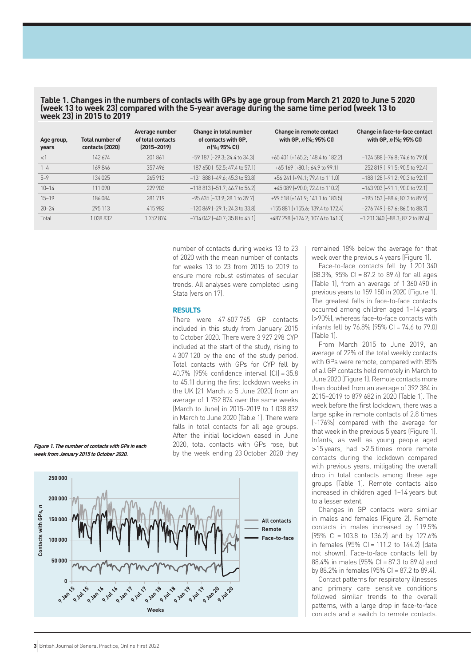| Table 1. Changes in the numbers of contacts with GPs by age group from March 21 2020 to June 5 2020 |
|-----------------------------------------------------------------------------------------------------|
| (week 13 to week 23) compared with the 5-year average during the same time period (week 13 to       |
| week 23) in 2015 to 2019                                                                            |

| Age group,<br>years | <b>Total number of</b><br>contacts (2020) | Average number<br>of total contacts<br>$(2015 - 2019)$ | Change in total number<br>of contacts with GP.<br>$n$ (%; 95% CI) | Change in remote contact<br>with GP, n (%; 95% CI) | Change in face-to-face contact<br>with GP, n(%; 95% CI) |
|---------------------|-------------------------------------------|--------------------------------------------------------|-------------------------------------------------------------------|----------------------------------------------------|---------------------------------------------------------|
| <1                  | 142674                                    | 201861                                                 | $-59$ 187 $[-29.3; 24.4$ to 34.3                                  | +65 401 (+165.2; 148.4 to 182.2)                   | $-124588$ $[-76.8; 74.6$ to 79.0]                       |
| $1 - 4$             | 169846                                    | 357496                                                 | $-187650$ ( $-52.5$ ; 47.4 to 57.1)                               | +65 169 (+80.1; 64.9 to 99.1)                      | $-252819$ $[-91.5; 90.5$ to $92.4]$                     |
| $5 - 9$             | 134 025                                   | 265913                                                 | $-131888$ $[-49.6; 45.3$ to 53.8]                                 | +56 241 [+94.1; 79.4 to 111.0]                     | $-188$ 128 $[-91.2; 90.3$ to 92.1]                      |
| $10 - 14$           | 111 090                                   | 229 903                                                | $-118813$ $[-51.7; 46.7$ to $56.2]$                               | +45 089 (+90.0; 72.4 to 110.2)                     | $-163903$ $[-91.1; 90.0$ to $92.1]$                     |
| $15 - 19$           | 186 084                                   | 281719                                                 | $-95635$ $[-33.9; 28.1$ to 39.7]                                  | +99 518 (+161.9; 141.1 to 183.5)                   | $-195$ 153 $[-88.6; 87.3$ to 89.9]                      |
| $20 - 24$           | 295 113                                   | 415982                                                 | $-120869$ $[-29.1; 24.3$ to 33.8]                                 | +155 881 (+155.6; 139.4 to 172.4)                  | $-276749$ $[-87.6; 86.5$ to 88.7]                       |
| Total               | 1038832                                   | 1752874                                                | $-714042$ $[-40.7; 35.8$ to $45.1]$                               | +487 298 (+124.2; 107.6 to 141.3)                  | $-1$ 201 340 $[-88.3; 87.2$ to 89.4]                    |

number of contacts during weeks 13 to 23 of 2020 with the mean number of contacts for weeks 13 to 23 from 2015 to 2019 to ensure more robust estimates of secular trends. All analyses were completed using Stata (version 17).

# **RESULTS**

There were 47 607 765 GP contacts included in this study from January 2015 to October 2020. There were 3 927 298 CYP included at the start of the study, rising to 4 307 120 by the end of the study period. Total contacts with GPs for CYP fell by 40.7% (95% confidence interval [CI] = 35.8 to 45.1) during the first lockdown weeks in the UK (21 March to 5 June 2020) from an average of 1 752 874 over the same weeks (March to June) in 2015–2019 to 1 038 832 in March to June 2020 (Table 1). There were falls in total contacts for all age groups. After the initial lockdown eased in June 2020, total contacts with GPs rose, but by the week ending 23 October 2020 they





remained 18% below the average for that week over the previous 4 years (Figure 1).

Face-to-face contacts fell by 1 201 340 (88.3%, 95% CI = 87.2 to 89.4) for all ages (Table 1), from an average of 1 360 490 in previous years to 159 150 in 2020 (Figure 1). The greatest falls in face-to-face contacts occurred among children aged 1–14 years (>90%), whereas face-to-face contacts with infants fell by 76.8% (95% CI = 74.6 to 79.0) (Table 1).

From March 2015 to June 2019, an average of 22% of the total weekly contacts with GPs were remote, compared with 85% of all GP contacts held remotely in March to June 2020 (Figure 1). Remote contacts more than doubled from an average of 392 384 in 2015–2019 to 879 682 in 2020 (Table 1). The week before the first lockdown, there was a large spike in remote contacts of 2.8 times (~176%) compared with the average for that week in the previous 5 years (Figure 1). Infants, as well as young people aged >15 years, had >2.5 times more remote contacts during the lockdown compared with previous vears, mitigating the overall drop in total contacts among these age groups (Table 1). Remote contacts also increased in children aged 1–14 years but to a lesser extent.

Changes in GP contacts were similar in males and females (Figure 2). Remote contacts in males increased by 119.5% (95% CI = 103.8 to 136.2) and by 127.6% in females (95% CI = 111.2 to 144.2) (data not shown). Face-to-face contacts fell by 88.4% in males (95% CI = 87.3 to 89.4) and by 88.2% in females  $(95% C = 87.2$  to 89.4).

Contact patterns for respiratory illnesses and primary care sensitive conditions followed similar trends to the overall patterns, with a large drop in face-to-face contacts and a switch to remote contacts.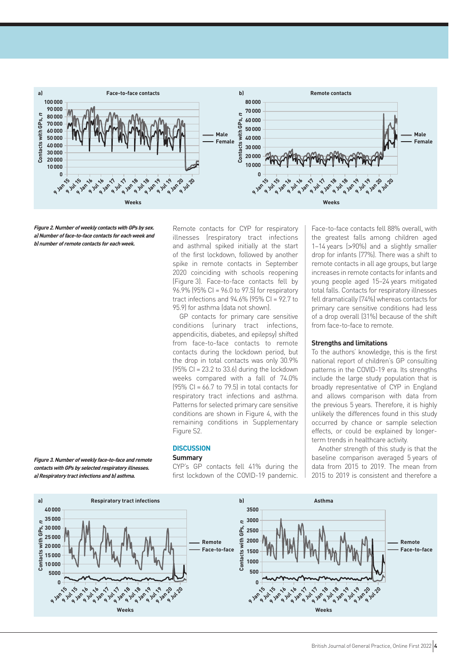

**Figure 2. Number of weekly contacts with GPs by sex. a) Number of face-to-face contacts for each week and b) number of remote contacts for each week.**

**Figure 3. Number of weekly face-to-face and remote contacts with GPs by selected respiratory illnesses.** 

Remote contacts for CYP for respiratory illnesses (respiratory tract infections and asthma) spiked initially at the start of the first lockdown, followed by another spike in remote contacts in September 2020 coinciding with schools reopening (Figure 3). Face-to-face contacts fell by 96.9% (95% CI = 96.0 to 97.5) for respiratory tract infections and  $94.6\%$  (95% CI =  $92.7$  to 95.9) for asthma (data not shown).

GP contacts for primary care sensitive conditions (urinary tract infections, appendicitis, diabetes, and epilepsy) shifted from face-to-face contacts to remote contacts during the lockdown period, but the drop in total contacts was only 30.9%  $(95\% \text{ Cl} = 23.2 \text{ to } 33.6)$  during the lockdown weeks compared with a fall of 74.0%  $(95\% \text{ Cl} = 66.7 \text{ to } 79.5)$  in total contacts for respiratory tract infections and asthma. Patterns for selected primary care sensitive conditions are shown in Figure 4, with the remaining conditions in Supplementary Figure S2.

# **DISCUSSION**

### **Summary**

CYP's GP contacts fell 41% during the first lockdown of the COVID-19 pandemic.

Face-to-face contacts fell 88% overall, with the greatest falls among children aged 1–14 years (>90%) and a slightly smaller drop for infants (77%). There was a shift to remote contacts in all age groups, but large increases in remote contacts for infants and young people aged 15–24 years mitigated total falls. Contacts for respiratory illnesses fell dramatically (74%) whereas contacts for primary care sensitive conditions had less of a drop overall (31%) because of the shift from face-to-face to remote.

### **Strengths and limitations**

To the authors' knowledge, this is the first national report of children's GP consulting patterns in the COVID-19 era. Its strengths include the large study population that is broadly representative of CYP in England and allows comparison with data from the previous 5 years. Therefore, it is highly unlikely the differences found in this study occurred by chance or sample selection effects, or could be explained by longerterm trends in healthcare activity.

Another strength of this study is that the baseline comparison averaged 5 years of data from 2015 to 2019. The mean from 2015 to 2019 is consistent and therefore a

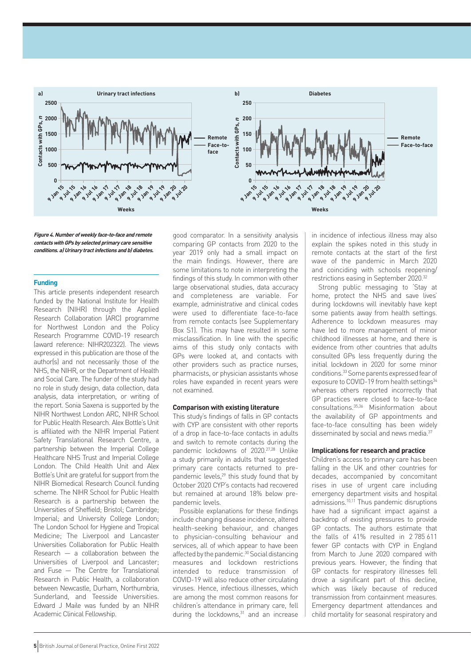

**Figure 4. Number of weekly face-to-face and remote contacts with GPs by selected primary care sensitive conditions. a) Urinary tract infections and b) diabetes.**

### **Funding**

This article presents independent research funded by the National Institute for Health Research (NIHR) through the Applied Research Collaboration (ARC) programme for Northwest London and the Policy Research Programme COVID-19 research (award reference: NIHR202322). The views expressed in this publication are those of the author(s) and not necessarily those of the NHS, the NIHR, or the Department of Health and Social Care. The funder of the study had no role in study design, data collection, data analysis, data interpretation, or writing of the report. Sonia Saxena is supported by the NIHR Northwest London ARC, NIHR School for Public Health Research. Alex Bottle's Unit is affiliated with the NIHR Imperial Patient Safety Translational Research Centre, a partnership between the Imperial College Healthcare NHS Trust and Imperial College London. The Child Health Unit and Alex Bottle's Unit are grateful for support from the NIHR Biomedical Research Council funding scheme. The NIHR School for Public Health Research is a partnership between the Universities of Sheffield; Bristol; Cambridge; Imperial; and University College London; The London School for Hygiene and Tropical Medicine; The Liverpool and Lancaster Universities Collaboration for Public Health Research — a collaboration between the Universities of Liverpool and Lancaster; and Fuse — The Centre for Translational Research in Public Health, a collaboration between Newcastle, Durham, Northumbria, Sunderland, and Teesside Universities. Edward J Maile was funded by an NIHR Academic Clinical Fellowship.

good comparator. In a sensitivity analysis comparing GP contacts from 2020 to the year 2019 only had a small impact on the main findings. However, there are some limitations to note in interpreting the findings of this study. In common with other large observational studies, data accuracy and completeness are variable. For example, administrative and clinical codes were used to differentiate face-to-face from remote contacts (see Supplementary Box S1). This may have resulted in some misclassification. In line with the specific aims of this study only contacts with GPs were looked at, and contacts with other providers such as practice nurses, pharmacists, or physician assistants whose roles have expanded in recent years were not examined.

#### **Comparison with existing literature**

This study's findings of falls in GP contacts with CYP are consistent with other reports of a drop in face-to-face contacts in adults and switch to remote contacts during the pandemic lockdowns of 2020.27,28 Unlike a study primarily in adults that suggested primary care contacts returned to prepandemic levels, $29$  this study found that by October 2020 CYP's contacts had recovered but remained at around 18% below prepandemic levels.

Possible explanations for these findings include changing disease incidence, altered health-seeking behaviour, and changes to physician-consulting behaviour and services, all of which appear to have been affected by the pandemic.<sup>30</sup> Social distancing measures and lockdown restrictions intended to reduce transmission of COVID-19 will also reduce other circulating viruses. Hence, infectious illnesses, which are among the most common reasons for children's attendance in primary care, fell during the lockdowns, $31$  and an increase

in incidence of infectious illness may also explain the spikes noted in this study in remote contacts at the start of the first wave of the pandemic in March 2020 and coinciding with schools reopening/ restrictions easing in September 2020.32

Strong public messaging to 'Stay at home, protect the NHS and save lives' during lockdowns will inevitably have kept some patients away from health settings. Adherence to lockdown measures may have led to more management of minor childhood illnesses at home, and there is evidence from other countries that adults consulted GPs less frequently during the initial lockdown in 2020 for some minor conditions.33 Some parents expressed fear of exposure to COVID-19 from health settings<sup>34</sup> whereas others reported incorrectly that GP practices were closed to face-to-face consultations.35,36 Misinformation about the availability of GP appointments and face-to-face consulting has been widely disseminated by social and news media.<sup>37</sup>

### **Implications for research and practice**

Children's access to primary care has been falling in the UK and other countries for decades, accompanied by concomitant rises in use of urgent care including emergency department visits and hospital admissions.<sup>10,11</sup> Thus pandemic disruptions have had a significant impact against a backdrop of existing pressures to provide GP contacts. The authors estimate that the falls of 41% resulted in 2 785 611 fewer GP contacts with CYP in England from March to June 2020 compared with previous years. However, the finding that GP contacts for respiratory illnesses fell drove a significant part of this decline, which was likely because of reduced transmission from containment measures. Emergency department attendances and child mortality for seasonal respiratory and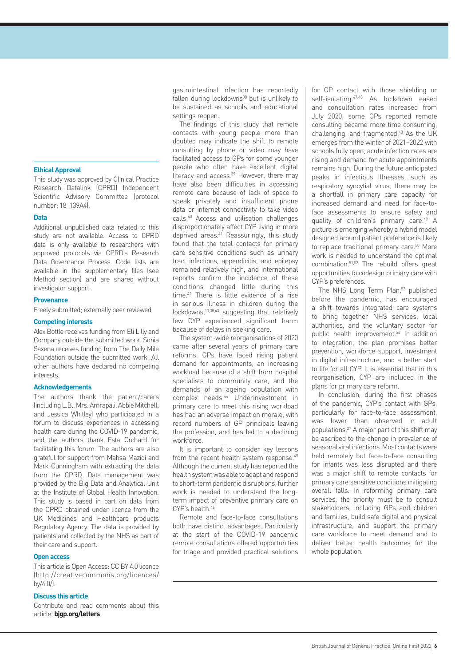#### **Ethical Approval**

This study was approved by Clinical Practice Research Datalink (CPRD) Independent Scientific Advisory Committee (protocol number: 18\_139A4).

#### **Data**

Additional unpublished data related to this study are not available. Access to CPRD data is only available to researchers with approved protocols via CPRD's Research Data Governance Process. Code lists are available in the supplementary files (see Method section) and are shared without investigator support.

#### **Provenance**

Freely submitted; externally peer reviewed.

#### **Competing interests**

Alex Bottle receives funding from Eli Lilly and Company outside the submitted work. Sonia Saxena receives funding from The Daily Mile Foundation outside the submitted work. All other authors have declared no competing interests.

# **Acknowledgements**

The authors thank the patient/carers (including L.B., Mrs. Amrapali, Abbie Mitchell, and Jessica Whitley) who participated in a forum to discuss experiences in accessing health care during the COVID-19 pandemic, and the authors thank Esta Orchard for facilitating this forum. The authors are also grateful for support from Mahsa Mazidi and Mark Cunningham with extracting the data from the CPRD. Data management was provided by the Big Data and Analytical Unit at the Institute of Global Health Innovation. This study is based in part on data from the CPRD obtained under licence from the UK Medicines and Healthcare products Regulatory Agency. The data is provided by patients and collected by the NHS as part of their care and support.

## **Open access**

This article is Open Access: CC BY 4.0 licence [\(http://creativecommons.org/licences/](http://creativecommons.org/licences/by/4.0/) [by/4.0/\)](http://creativecommons.org/licences/by/4.0/).

## **Discuss this article**

Contribute and read comments about this article: **[bjgp.org/letters](http://bjgp.org/letters)**

gastrointestinal infection has reportedly fallen during lockdowns<sup>38</sup> but is unlikely to be sustained as schools and educational settings reopen.

The findings of this study that remote contacts with young people more than doubled may indicate the shift to remote consulting by phone or video may have facilitated access to GPs for some younger people who often have excellent digital literacy and access.<sup>39</sup> However, there may have also been difficulties in accessing remote care because of lack of space to speak privately and insufficient phone data or internet connectivity to take video calls.40 Access and utilisation challenges disproportionately affect CYP living in more deprived areas.<sup>41</sup> Reassuringly, this study found that the total contacts for primary care sensitive conditions such as urinary tract infections, appendicitis, and epilepsy remained relatively high, and international reports confirm the incidence of these conditions changed little during this time.42 There is little evidence of a rise in serious illness in children during the lockdowns,13,38,43 suggesting that relatively few CYP experienced significant harm because of delays in seeking care.

The system-wide reorganisations of 2020 came after several years of primary care reforms. GPs have faced rising patient demand for appointments, an increasing workload because of a shift from hospital specialists to community care, and the demands of an ageing population with complex needs.44 Underinvestment in primary care to meet this rising workload has had an adverse impact on morale, with record numbers of GP principals leaving the profession, and has led to a declining workforce.

It is important to consider key lessons from the recent health system response.<sup>45</sup> Although the current study has reported the health system was able to adapt and respond to short-term pandemic disruptions, further work is needed to understand the longterm impact of preventive primary care on  $CYP$ 's health  $46$ 

Remote and face-to-face consultations both have distinct advantages. Particularly at the start of the COVID-19 pandemic remote consultations offered opportunities for triage and provided practical solutions

for GP contact with those shielding or self-isolating.47,48 As lockdown eased and consultation rates increased from July 2020, some GPs reported remote consulting became more time consuming, challenging, and fragmented.48 As the UK emerges from the winter of 2021–2022 with schools fully open, acute infection rates are rising and demand for acute appointments remains high. During the future anticipated peaks in infectious illnesses, such as respiratory syncytial virus, there may be a shortfall in primary care capacity for increased demand and need for face-toface assessments to ensure safety and quality of children's primary care.49 A picture is emerging whereby a hybrid model designed around patient preference is likely to replace traditional primary care.<sup>50</sup> More work is needed to understand the optimal combination.51,52 The rebuild offers great opportunities to codesign primary care with CYP's preferences.

The NHS Long Term Plan,<sup>53</sup> published before the pandemic, has encouraged a shift towards integrated care systems to bring together NHS services, local authorities, and the voluntary sector for public health improvement.<sup>54</sup> In addition to integration, the plan promises better prevention, workforce support, investment in digital infrastructure, and a better start to life for all CYP. It is essential that in this reorganisation, CYP are included in the plans for primary care reform.

In conclusion, during the first phases of the pandemic, CYP's contact with GPs, particularly for face-to-face assessment, was lower than observed in adult populations.27 A major part of this shift may be ascribed to the change in prevalence of seasonal viral infections. Most contacts were held remotely but face-to-face consulting for infants was less disrupted and there was a major shift to remote contacts for primary care sensitive conditions mitigating overall falls. In reforming primary care services, the priority must be to consult stakeholders, including GPs and children and families, build safe digital and physical infrastructure, and support the primary care workforce to meet demand and to deliver better health outcomes for the whole population.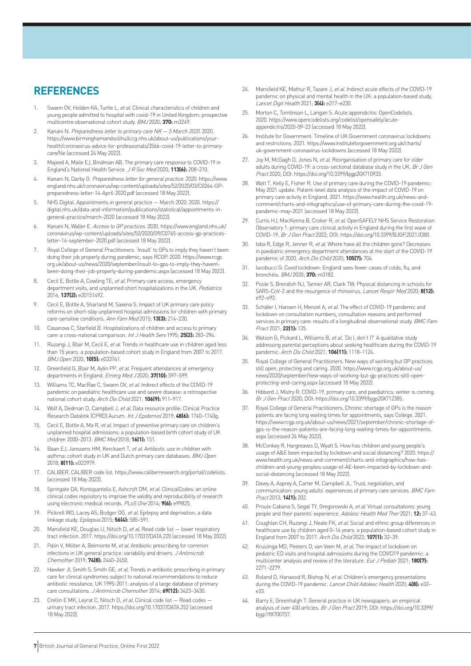# **REFERENCES**

- 1. Swann OV, Holden KA, Turtle L, et al. Clinical characteristics of children and young people admitted to hospital with covid-19 in United Kingdom: prospective multicentre observational cohort study. BMJ 2020; **370:** m3249.
- 2. Kanani N. Preparedness letter to primary care NK 5 March 2020, 2020. [https://www.birminghamandsolihullccg.nhs.uk/about-us/publications/your](https://www.birminghamandsolihullccg.nhs.uk/about-us/publications/your-health/coronavirus-advice-for-professionals/3566-covid-19-letter-to-primary-care/file)[health/coronavirus-advice-for-professionals/3566-covid-19-letter-to-primary](https://www.birminghamandsolihullccg.nhs.uk/about-us/publications/your-health/coronavirus-advice-for-professionals/3566-covid-19-letter-to-primary-care/file)[care/file](https://www.birminghamandsolihullccg.nhs.uk/about-us/publications/your-health/coronavirus-advice-for-professionals/3566-covid-19-letter-to-primary-care/file) (accessed 24 May 2022).
- 3. Majeed A, Maile EJ, Bindman AB. The primary care response to COVID-19 in England's National Health Service. J R Soc Med 2020; **113(6):** 208–210.
- 4. Kanani N, Darby G. Preparedness letter for general practice. 2020. [https://www.](https://www.england.nhs.uk/coronavirus/wp-content/uploads/sites/52/2020/03/C0264-GP-preparedness-letter-14-April-2020.pdf) [england.nhs.uk/coronavirus/wp-content/uploads/sites/52/2020/03/C0264-GP](https://www.england.nhs.uk/coronavirus/wp-content/uploads/sites/52/2020/03/C0264-GP-preparedness-letter-14-April-2020.pdf)[preparedness-letter-14-April-2020.pdf](https://www.england.nhs.uk/coronavirus/wp-content/uploads/sites/52/2020/03/C0264-GP-preparedness-letter-14-April-2020.pdf) (accessed 18 May 2022).
- 5. NHS Digital. Appointments in general practice March 2020. 2020. [https://](https://digital.nhs.uk/data-and-information/publications/statistical/appointments-in-general-practice/march-2020) [digital.nhs.uk/data-and-information/publications/statistical/appointments-in](https://digital.nhs.uk/data-and-information/publications/statistical/appointments-in-general-practice/march-2020)[general-practice/march-2020](https://digital.nhs.uk/data-and-information/publications/statistical/appointments-in-general-practice/march-2020) (accessed 18 May 2022).
- 6. Kanani N, Waller E. Access to GP practices. 2020. [https://www.england.nhs.uk/](https://www.england.nhs.uk/coronavirus/wp-content/uploads/sites/52/2020/09/C0765-access-gp-practices-letter-14-september-2020.pdf) [coronavirus/wp-content/uploads/sites/52/2020/09/C0765-access-gp-practices](https://www.england.nhs.uk/coronavirus/wp-content/uploads/sites/52/2020/09/C0765-access-gp-practices-letter-14-september-2020.pdf)[letter-14-september-2020.pdf](https://www.england.nhs.uk/coronavirus/wp-content/uploads/sites/52/2020/09/C0765-access-gp-practices-letter-14-september-2020.pdf) (accessed 18 May 2022).
- 7. Royal College of General Practitioners. 'Insult' to GPs to imply they haven't been doing their job properly during pandemic, says RCGP. 2020. [https://www.rcgp.](https://www.rcgp.org.uk/about-us/news/2020/september/insult-to-gps-to-imply-they-havent-been-doing-their-job-properly-during-pandemic.aspx) [org.uk/about-us/news/2020/september/insult-to-gps-to-imply-they-havent](https://www.rcgp.org.uk/about-us/news/2020/september/insult-to-gps-to-imply-they-havent-been-doing-their-job-properly-during-pandemic.aspx)[been-doing-their-job-properly-during-pandemic.aspx](https://www.rcgp.org.uk/about-us/news/2020/september/insult-to-gps-to-imply-they-havent-been-doing-their-job-properly-during-pandemic.aspx) (accessed 18 May 2022).
- 8. Cecil E, Bottle A, Cowling TE, et al. Primary care access, emergency department visits, and unplanned short hospitalizations in the UK. Pediatrics 2016; **137(2):** e20151492.
- 9. Cecil E, Bottle A, Sharland M, Saxena S. Impact of UK primary care policy reforms on short-stay unplanned hospital admissions for children with primary care-sensitive conditions. Ann Fam Med 2015; **13(3):** 214–220.
- 10. Casanova C, Starfield B. Hospitalizations of children and access to primary care: a cross-national comparison. Int J Health Serv 1995; **25(2):** 283–294.
- 11. Ruzangi J, Blair M, Cecil E, et al. Trends in healthcare use in children aged less than 15 years: a population-based cohort study in England from 2007 to 2017. BMJ Open 2020; **10(5):** e033761.
- 12. Greenfield G, Blair M, Aylin PP, et al. Frequent attendances at emergency departments in England. Emerg Med J 2020; **37(10):** 597–599.
- 13. Williams TC, MacRae C, Swann OV, et al. Indirect effects of the COVID-19 pandemic on paediatric healthcare use and severe disease: a retrospective national cohort study. Arch Dis Child 2021; **106(9):** 911–917.
- 14. Wolf A, Dedman D, Campbell J, et al. Data resource profile: Clinical Practice Research Datalink (CPRD) Aurum. Int J Epidemiol 2019; **48(6):** 1740–1740g.
- 15. Cecil E, Bottle A, Ma R, et al. Impact of preventive primary care on children's unplanned hospital admissions: a population-based birth cohort study of UK children 2000–2013. BMC Med 2018; **16(1):** 151.
- 16. Baan EJ, Janssens HM, Kerckaert T, et al. Antibiotic use in children with asthma: cohort study in UK and Dutch primary care databases. BMJ Open 2018; **8(11):** e022979.
- 17. CALIBER. CALIBER code list.<https://www.caliberresearch.org/portal/codelists> (accessed 18 May 2022).
- 18. Springate DA, Kontopantelis E, Ashcroft DM, et al. ClinicalCodes: an online clinical codes repository to improve the validity and reproducibility of research using electronic medical records. PLoS One 2014; **9(6):** e99825.
- 19. Pickrell WO, Lacey AS, Bodger OG, et al. Epilepsy and deprivation, a data linkage study. Epilepsia 2015; **56(4):** 585–591.
- 20. Mansfield KE, Douglas IJ, Nitsch D, et al. Read code list lower respiratory tract infection. 2017.<https://doi.org/10.17037/DATA.220> (accessed 18 May 2022).
- 21. Palin V, Mölter A, Belmonte M, et al. Antibiotic prescribing for common infections in UK general practice: variability and drivers. J Antimicrob Chemother 2019; **74(8):** 2440–2450.
- 22. Hawker JI, Smith S, Smith GE, et al. Trends in antibiotic prescribing in primary care for clinical syndromes subject to national recommendations to reduce antibiotic resistance, UK 1995-2011: analysis of a large database of primary care consultations. J Antimicrob Chemother 2014; **69(12):** 3423–3430.
- 23. Crellin E MK, Leyrat C, Nitsch D, et al. Clinical code list Read codes urinary tract infection. 2017.<https://doi.org/10.17037/DATA.252> (accessed 18 May 2022).
- 24. Mansfield KE, Mathur R, Tazare J, et al. Indirect acute effects of the COVID-19 pandemic on physical and mental health in the UK: a population-based study. Lancet Digit Health 2021; **3(4):** e217–e230.
- Morton C, Tomlinson L, Langan S. Acute appendicitis: OpenCodelists. 2020. [https://www.opencodelists.org/codelist/opensafely/acute](https://www.opencodelists.org/codelist/opensafely/acute-appendicitis/2020-09-23)[appendicitis/2020-09-23](https://www.opencodelists.org/codelist/opensafely/acute-appendicitis/2020-09-23) (accessed 18 May 2022).
- 26. Institute for Government. Timeline of UK Government coronavirus lockdowns and restrictions. 2021. [https://www.instituteforgovernment.org.uk/charts/](https://www.instituteforgovernment.org.uk/charts/uk-government-coronavirus-lockdowns) [uk-government-coronavirus-lockdowns](https://www.instituteforgovernment.org.uk/charts/uk-government-coronavirus-lockdowns) (accessed 18 May 2022).
- 27. Joy M, McGagh D, Jones N, et al. Reorganisation of primary care for older adults during COVID-19: a cross-sectional database study in the UK. Br J Gen Pract 2020; DOI: <https://doi.org/10.3399/bjgp20X710933>.
- 28. Watt T, Kelly E, Fisher R. Use of primary care during the COVID-19 pandemic: May 2021 update. Patient-level data analysis of the impact of COVID-19 on primary care activity in England. 2021. [https://www.health.org.uk/news-and](https://www.health.org.uk/news-and-comment/charts-and-infographics/use-of-primary-care-during-the-covid-19-pandemic-may-2021)[comment/charts-and-infographics/use-of-primary-care-during-the-covid-19](https://www.health.org.uk/news-and-comment/charts-and-infographics/use-of-primary-care-during-the-covid-19-pandemic-may-2021) [pandemic-may-2021](https://www.health.org.uk/news-and-comment/charts-and-infographics/use-of-primary-care-during-the-covid-19-pandemic-may-2021) (accessed 18 May 2022).
- 29. Curtis HJ, MacKenna B, Croker R, et al. OpenSAFELY NHS Service Restoration Observatory 1: primary care clinical activity in England during the first wave of COVID-19. Br J Gen Pract 2022; DOI: [https://doi.org/10.3399/BJGP.2021.0380.](https://doi.org/10.3399/BJGP.2021.0380)
- 30. Isba R, Edge R, Jenner R, et al. Where have all the children gone? Decreases in paediatric emergency department attendances at the start of the COVID-19 pandemic of 2020. Arch Dis Child 2020; **105(7):** 704.
- 31. Iacobucci G. Covid lockdown: England sees fewer cases of colds, flu, and bronchitis. BMJ 2020; **370:** m3182.
- 32. Poole S, Brendish NJ, Tanner AR, Clark TW. Physical distancing in schools for SARS-CoV-2 and the resurgence of rhinovirus. Lancet Respir Med 2020; **8(12):** e92–e93.
- 33. Schäfer I, Hansen H, Menzel A, et al. The effect of COVID-19 pandemic and lockdown on consultation numbers, consultation reasons and performed services in primary care: results of a longitudinal observational study. BMC Fam Pract 2021; **22(1):** 125.
- 34. Watson G, Pickard L, Williams B, et al. 'Do I, don't I?' A qualitative study addressing parental perceptions about seeking healthcare during the COVID-19 pandemic. Arch Dis Child 2021; **106(11):** 1118–1124.
- 35. Royal College of General Practitioners. New ways of working but GP practices still open, protecting and caring. 2020. [https://www.rcgp.org.uk/about-us/](https://www.rcgp.org.uk/about-us/news/2020/september/new-ways-of-working-but-gp-practices-still-open-protecting-and-caring.aspx) [news/2020/september/new-ways-of-working-but-gp-practices-still-open](https://www.rcgp.org.uk/about-us/news/2020/september/new-ways-of-working-but-gp-practices-still-open-protecting-and-caring.aspx)[protecting-and-caring.aspx](https://www.rcgp.org.uk/about-us/news/2020/september/new-ways-of-working-but-gp-practices-still-open-protecting-and-caring.aspx) (accessed 18 May 2022).
- 36. Hibberd J, Mistry R. COVID-19, primary care, and paediatrics: winter is coming. Br J Gen Pract 2020; DOI: <https://doi.org/10.3399/bjgp20X712385>.
- 37. Royal College of General Practitioners. Chronic shortage of GPs is the reason patients are facing long waiting times for appointments, says College. 2021. [https://www.rcgp.org.uk/about-us/news/2021/september/chronic-shortage-of](https://www.rcgp.org.uk/about-us/news/2021/september/chronic-shortage-of-gps-is-the-reason-patients-are-facing-long-waiting-times-for-appointments.aspx)[gps-is-the-reason-patients-are-facing-long-waiting-times-for-appointments.](https://www.rcgp.org.uk/about-us/news/2021/september/chronic-shortage-of-gps-is-the-reason-patients-are-facing-long-waiting-times-for-appointments.aspx) [aspx](https://www.rcgp.org.uk/about-us/news/2021/september/chronic-shortage-of-gps-is-the-reason-patients-are-facing-long-waiting-times-for-appointments.aspx) (accessed 24 May 2022).
- 38. McConkey R, Hargreaves D, Wyatt S. How has children and young people's usage of A&E been impacted by lockdown and social distancing? 2020. [https://](https://www.health.org.uk/news-and-comment/charts-and-infographics/how-has-children-and-young-peoples-usage-of-AE-been-impacted-by-lockdown-and-social-distancing) [www.health.org.uk/news-and-comment/charts-and-infographics/how-has](https://www.health.org.uk/news-and-comment/charts-and-infographics/how-has-children-and-young-peoples-usage-of-AE-been-impacted-by-lockdown-and-social-distancing)[children-and-young-peoples-usage-of-AE-been-impacted-by-lockdown-and](https://www.health.org.uk/news-and-comment/charts-and-infographics/how-has-children-and-young-peoples-usage-of-AE-been-impacted-by-lockdown-and-social-distancing)[social-distancing](https://www.health.org.uk/news-and-comment/charts-and-infographics/how-has-children-and-young-peoples-usage-of-AE-been-impacted-by-lockdown-and-social-distancing) (accessed 18 May 2022).
- 39. Davey A, Asprey A, Carter M, Campbell JL. Trust, negotiation, and communication: young adults' experiences of primary care services. BMC Fam Pract 2013; **14(1):** 202.
- 40. Proulx-Cabana S, Segal TY, Gregorowski A, et al. Virtual consultations: young people and their parents' experience. Adolesc Health Med Ther 2021; **12:** 37–43.
- 41. Coughlan CH, Ruzangi J, Neale FK, et al. Social and ethnic group differences in healthcare use by children aged 0–14 years: a population-based cohort study in England from 2007 to 2017. Arch Dis Child 2022; **107(1):** 32–39.
- 42. Kruizinga MD, Peeters D, van Veen M, et al. The impact of lockdown on pediatric ED visits and hospital admissions during the COVID19 pandemic: a multicenter analysis and review of the literature. Eur J Pediatr 2021; **180(7):** 2271–2279.
- 43. Roland D, Harwood R, Bishop N, et al. Children's emergency presentations during the COVID-19 pandemic. Lancet Child Adolesc Health 2020; **4(8):** e32– e33.
- 44. Barry E, Greenhalgh T. General practice in UK newspapers: an empirical analysis of over 400 articles. Br J Gen Pract 2019; DOI: [https://doi.org/10.3399/](https://doi.org/10.3399/bjgp19X700757) [bjgp19X700757](https://doi.org/10.3399/bjgp19X700757).